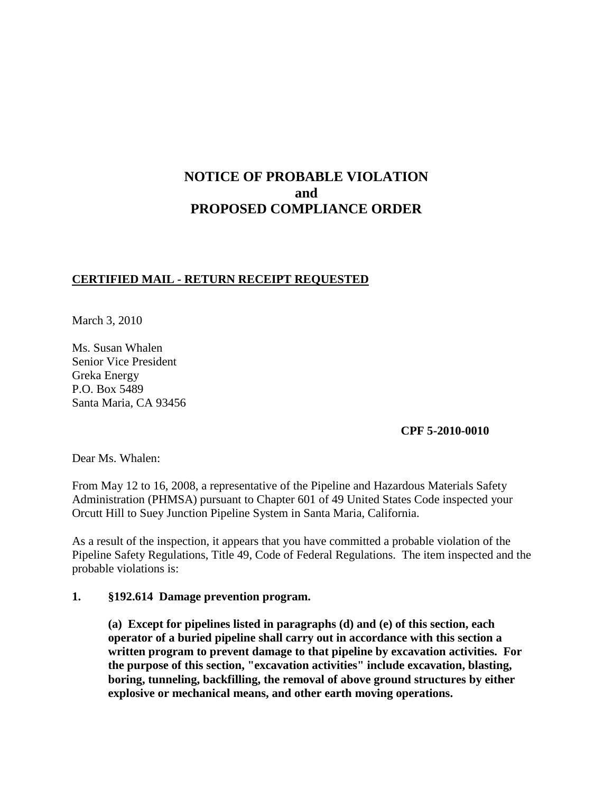# **NOTICE OF PROBABLE VIOLATION and PROPOSED COMPLIANCE ORDER**

## **CERTIFIED MAIL - RETURN RECEIPT REQUESTED**

March 3, 2010

Ms. Susan Whalen Senior Vice President Greka Energy P.O. Box 5489 Santa Maria, CA 93456

**CPF 5-2010-0010**

Dear Ms. Whalen:

From May 12 to 16, 2008, a representative of the Pipeline and Hazardous Materials Safety Administration (PHMSA) pursuant to Chapter 601 of 49 United States Code inspected your Orcutt Hill to Suey Junction Pipeline System in Santa Maria, California.

As a result of the inspection, it appears that you have committed a probable violation of the Pipeline Safety Regulations, Title 49, Code of Federal Regulations. The item inspected and the probable violations is:

### **1. §192.614 Damage prevention program.**

**(a) Except for pipelines listed in paragraphs (d) and (e) of this section, each operator of a buried pipeline shall carry out in accordance with this section a written program to prevent damage to that pipeline by excavation activities. For the purpose of this section, "excavation activities" include excavation, blasting, boring, tunneling, backfilling, the removal of above ground structures by either explosive or mechanical means, and other earth moving operations.**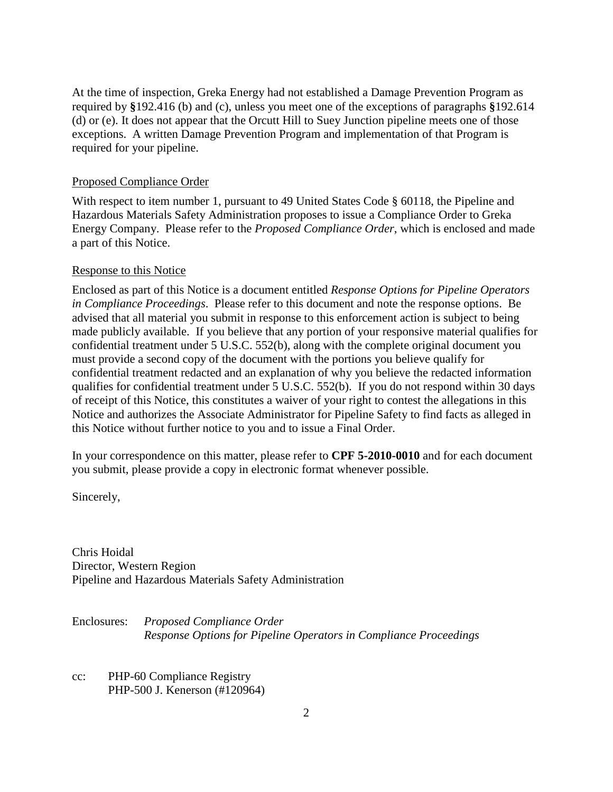At the time of inspection, Greka Energy had not established a Damage Prevention Program as required by **§**192.416 (b) and (c), unless you meet one of the exceptions of paragraphs **§**192.614 (d) or (e). It does not appear that the Orcutt Hill to Suey Junction pipeline meets one of those exceptions. A written Damage Prevention Program and implementation of that Program is required for your pipeline.

#### Proposed Compliance Order

With respect to item number 1, pursuant to 49 United States Code § 60118, the Pipeline and Hazardous Materials Safety Administration proposes to issue a Compliance Order to Greka Energy Company. Please refer to the *Proposed Compliance Order*, which is enclosed and made a part of this Notice.

#### Response to this Notice

Enclosed as part of this Notice is a document entitled *Response Options for Pipeline Operators in Compliance Proceedings*. Please refer to this document and note the response options. Be advised that all material you submit in response to this enforcement action is subject to being made publicly available. If you believe that any portion of your responsive material qualifies for confidential treatment under 5 U.S.C. 552(b), along with the complete original document you must provide a second copy of the document with the portions you believe qualify for confidential treatment redacted and an explanation of why you believe the redacted information qualifies for confidential treatment under 5 U.S.C. 552(b). If you do not respond within 30 days of receipt of this Notice, this constitutes a waiver of your right to contest the allegations in this Notice and authorizes the Associate Administrator for Pipeline Safety to find facts as alleged in this Notice without further notice to you and to issue a Final Order.

In your correspondence on this matter, please refer to **CPF 5-2010-0010** and for each document you submit, please provide a copy in electronic format whenever possible.

Sincerely,

Chris Hoidal Director, Western Region Pipeline and Hazardous Materials Safety Administration

Enclosures: *Proposed Compliance Order Response Options for Pipeline Operators in Compliance Proceedings*

cc: PHP-60 Compliance Registry PHP-500 J. Kenerson (#120964)